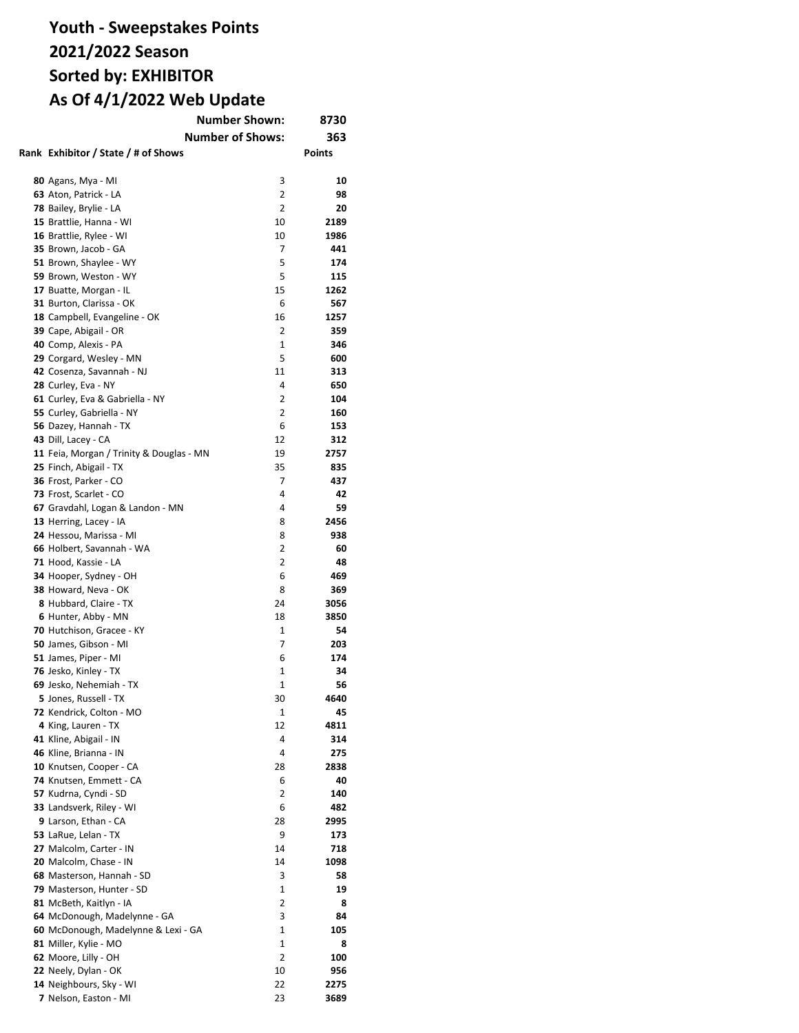| <b>Number Shown:</b>                     | 8730                    |               |
|------------------------------------------|-------------------------|---------------|
|                                          | <b>Number of Shows:</b> | 363           |
| Rank Exhibitor / State / # of Shows      |                         | <b>Points</b> |
|                                          |                         |               |
|                                          |                         | 10            |
| 80 Agans, Mya - MI                       | 3                       |               |
| 63 Aton, Patrick - LA                    | 2                       | 98            |
| 78 Bailey, Brylie - LA                   | $\overline{2}$          | 20            |
| 15 Brattlie, Hanna - WI                  | 10                      | 2189          |
| 16 Brattlie, Rylee - WI                  | 10                      | 1986          |
| 35 Brown, Jacob - GA                     | 7                       | 441           |
| 51 Brown, Shaylee - WY                   | 5                       | 174           |
| 59 Brown, Weston - WY                    | 5                       | 115           |
| 17 Buatte, Morgan - IL                   | 15                      | 1262          |
| 31 Burton, Clarissa - OK                 | 6                       | 567           |
| 18 Campbell, Evangeline - OK             | 16                      | 1257          |
| 39 Cape, Abigail - OR                    | 2                       | 359           |
| 40 Comp, Alexis - PA                     | 1                       | 346           |
| 29 Corgard, Wesley - MN                  | 5                       | 600           |
| 42 Cosenza, Savannah - NJ                | 11                      | 313           |
| 28 Curley, Eva - NY                      | 4                       | 650           |
| 61 Curley, Eva & Gabriella - NY          | 2                       | 104           |
| 55 Curley, Gabriella - NY                | 2                       | 160           |
| 56 Dazey, Hannah - TX                    | 6                       | 153           |
| 43 Dill, Lacey - CA                      | 12                      | 312           |
| 11 Feia, Morgan / Trinity & Douglas - MN | 19                      | 2757          |
| 25 Finch, Abigail - TX                   | 35                      | 835           |
| 36 Frost, Parker - CO                    | 7                       | 437           |
|                                          | 4                       | 42            |
| 73 Frost, Scarlet - CO                   |                         |               |
| 67 Gravdahl, Logan & Landon - MN         | 4                       | 59            |
| 13 Herring, Lacey - IA                   | 8                       | 2456          |
| 24 Hessou, Marissa - MI                  | 8                       | 938           |
| 66 Holbert, Savannah - WA                | 2                       | 60            |
| 71 Hood, Kassie - LA                     | $\overline{2}$          | 48            |
| 34 Hooper, Sydney - OH                   | 6                       | 469           |
| 38 Howard, Neva - OK                     | 8                       | 369           |
| 8 Hubbard, Claire - TX                   | 24                      | 3056          |
| 6 Hunter, Abby - MN                      | 18                      | 3850          |
| 70 Hutchison, Gracee - KY                | 1                       | 54            |
| 50 James, Gibson - MI                    | 7                       | 203           |
| 51 James, Piper - MI                     | 6                       | 174           |
| 76 Jesko, Kinley - TX                    | 1                       | 34            |
| 69 Jesko, Nehemiah - TX                  | $\mathbf{1}$            | 56            |
| 5 Jones, Russell - TX                    | 30                      | 4640          |
| 72 Kendrick, Colton - MO                 | 1                       | 45            |
| 4 King, Lauren - TX                      | 12                      | 4811          |
| 41 Kline, Abigail - IN                   | 4                       | 314           |
| 46 Kline, Brianna - IN                   | 4                       | 275           |
| 10 Knutsen, Cooper - CA                  | 28                      | 2838          |
| 74 Knutsen, Emmett - CA                  | 6                       | 40            |
| 57 Kudrna, Cyndi - SD                    | 2                       | 140           |
|                                          |                         |               |
| 33 Landsverk, Riley - WI                 | 6                       | 482           |
| 9 Larson, Ethan - CA                     | 28                      | 2995          |
| 53 LaRue, Lelan - TX                     | 9                       | 173           |
| 27 Malcolm, Carter - IN                  | 14                      | 718           |
| 20 Malcolm, Chase - IN                   | 14                      | 1098          |
| 68 Masterson, Hannah - SD                | 3                       | 58            |
| 79 Masterson, Hunter - SD                | 1                       | 19            |
| 81 McBeth, Kaitlyn - IA                  | 2                       | 8             |
| 64 McDonough, Madelynne - GA             | 3                       | 84            |
| 60 McDonough, Madelynne & Lexi - GA      | $\mathbf{1}$            | 105           |
| 81 Miller, Kylie - MO                    | 1                       | 8             |
| 62 Moore, Lilly - OH                     | 2                       | 100           |
| 22 Neely, Dylan - OK                     | 10                      | 956           |
| 14 Neighbours, Sky - WI                  | 22                      | 2275          |
| 7 Nelson, Easton - MI                    | 23                      | 3689          |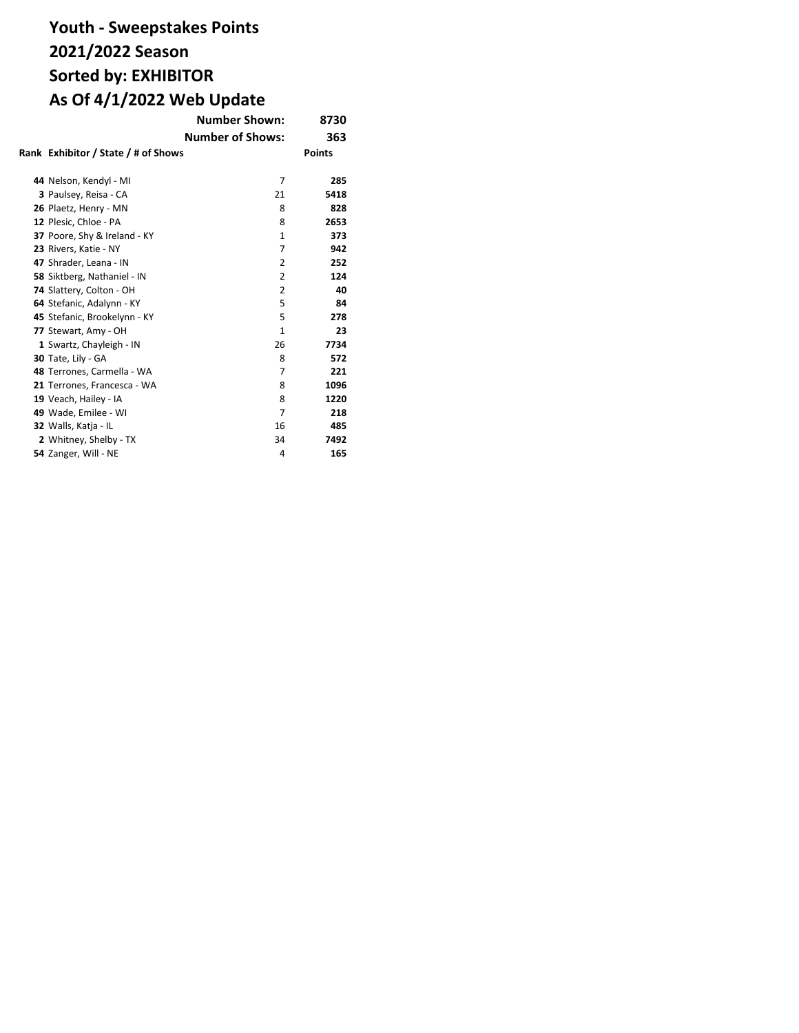|                                     | <b>Number Shown:</b>    | 8730          |
|-------------------------------------|-------------------------|---------------|
|                                     | <b>Number of Shows:</b> | 363           |
| Rank Exhibitor / State / # of Shows |                         | <b>Points</b> |
| 44 Nelson, Kendyl - MI              | $\overline{7}$          | 285           |
| 3 Paulsey, Reisa - CA               | 21                      | 5418          |
| 26 Plaetz, Henry - MN               | 8                       | 828           |
| 12 Plesic, Chloe - PA               | 8                       | 2653          |
| 37 Poore, Shy & Ireland - KY        | $\mathbf{1}$            | 373           |
| 23 Rivers, Katie - NY               | 7                       | 942           |
| 47 Shrader, Leana - IN              | $\overline{2}$          | 252           |
| 58 Siktberg, Nathaniel - IN         | $\overline{2}$          | 124           |
| 74 Slattery, Colton - OH            | 2                       | 40            |
| 64 Stefanic, Adalynn - KY           | 5                       | 84            |
| 45 Stefanic, Brookelynn - KY        | 5                       | 278           |
| 77 Stewart, Amy - OH                | $\mathbf{1}$            | 23            |
| 1 Swartz, Chayleigh - IN            | 26                      | 7734          |
| 30 Tate, Lily - GA                  | 8                       | 572           |
| 48 Terrones, Carmella - WA          | 7                       | 221           |
| 21 Terrones, Francesca - WA         | 8                       | 1096          |
| 19 Veach, Hailey - IA               | 8                       | 1220          |
| 49 Wade, Emilee - WI                | $\overline{7}$          | 218           |
| 32 Walls, Katja - IL                | 16                      | 485           |
| 2 Whitney, Shelby - TX              | 34                      | 7492          |
| 54 Zanger, Will - NE                | 4                       | 165           |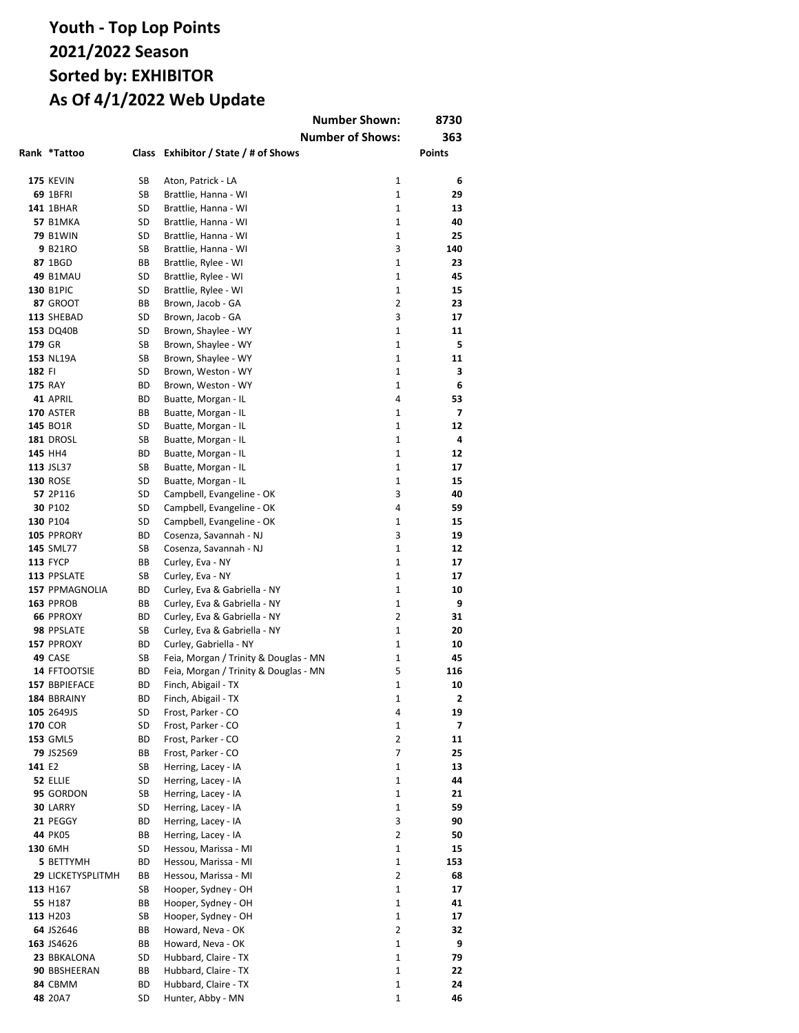|        |                          |          | <b>Number Shown:</b>                                |                | 8730           |
|--------|--------------------------|----------|-----------------------------------------------------|----------------|----------------|
|        |                          |          | <b>Number of Shows:</b>                             |                | 363            |
|        | Rank *Tattoo             |          | Class Exhibitor / State / # of Shows                |                | Points         |
|        |                          |          |                                                     |                |                |
|        | <b>175 KEVIN</b>         | SB       | Aton, Patrick - LA                                  | 1              | 6              |
|        | 69 1BFRI                 | SB       | Brattlie, Hanna - WI                                | $\mathbf{1}$   | 29             |
|        | 141 1BHAR                | SD       | Brattlie, Hanna - WI                                | 1              | 13             |
|        | <b>57 B1MKA</b>          | SD       | Brattlie, Hanna - WI                                | $\mathbf{1}$   | 40             |
|        | <b>79 B1WIN</b>          | SD       | Brattlie, Hanna - WI                                | $\mathbf{1}$   | 25             |
|        | 9 B21RO                  | SB       | Brattlie, Hanna - WI                                | 3              | 140            |
|        | 87 1BGD                  | ВB       | Brattlie, Rylee - WI                                | 1              | 23             |
|        | <b>49 B1MAU</b>          | SD       | Brattlie, Rylee - WI                                | 1              | 45             |
|        | <b>130 B1PIC</b>         | SD       | Brattlie, Rylee - WI                                | 1              | 15             |
|        | 87 GROOT                 | ВB       | Brown, Jacob - GA                                   | 2              | 23             |
|        | 113 SHEBAD               | SD       | Brown, Jacob - GA                                   | 3              | 17             |
|        | 153 DQ40B                | SD       | Brown, Shaylee - WY                                 | 1              | 11             |
| 179 GR |                          | SB       | Brown, Shaylee - WY                                 | $\mathbf{1}$   | 5              |
|        | 153 NL19A                | SB       | Brown, Shaylee - WY                                 | 1              | 11             |
| 182 FI |                          | SD       | Brown, Weston - WY                                  | $\mathbf{1}$   | 3              |
|        | <b>175 RAY</b>           | ВD       | Brown, Weston - WY                                  | 1              | 6              |
|        | 41 APRIL                 | ВD       | Buatte, Morgan - IL                                 | 4              | 53             |
|        | <b>170 ASTER</b>         | BВ       | Buatte, Morgan - IL                                 | 1              | $\overline{ }$ |
|        | 145 BO1R                 | SD       | Buatte, Morgan - IL                                 | $\mathbf{1}$   | 12             |
|        | 181 DROSL                | SB       | Buatte, Morgan - IL                                 | $\mathbf{1}$   | 4              |
|        | 145 HH4                  | ВD       | Buatte, Morgan - IL                                 | $\mathbf{1}$   | 12             |
|        | 113 JSL37                | SB       | Buatte, Morgan - IL                                 | 1              | 17             |
|        | <b>130 ROSE</b>          | SD       | Buatte, Morgan - IL                                 | $\mathbf{1}$   | 15             |
|        | 57 2P116                 | SD       | Campbell, Evangeline - OK                           | 3<br>4         | 40<br>59       |
|        | 30 P102<br>130 P104      | SD<br>SD | Campbell, Evangeline - OK                           | 1              | 15             |
|        | 105 PPRORY               | ВD       | Campbell, Evangeline - OK<br>Cosenza, Savannah - NJ | 3              | 19             |
|        | 145 SML77                | SB       | Cosenza, Savannah - NJ                              | $\mathbf{1}$   | 12             |
|        | <b>113 FYCP</b>          | ВB       | Curley, Eva - NY                                    | $\mathbf{1}$   | 17             |
|        | 113 PPSLATE              | SB       | Curley, Eva - NY                                    | 1              | 17             |
|        | 157 PPMAGNOLIA           | ВD       | Curley, Eva & Gabriella - NY                        | $\mathbf{1}$   | 10             |
|        | 163 PPROB                | ВB       | Curley, Eva & Gabriella - NY                        | $\mathbf{1}$   | 9              |
|        | <b>66 PPROXY</b>         | ВD       | Curley, Eva & Gabriella - NY                        | 2              | 31             |
|        | 98 PPSLATE               | SB       | Curley, Eva & Gabriella - NY                        | 1              | 20             |
|        | 157 PPROXY               | ВD       | Curley, Gabriella - NY                              | 1              | 10             |
|        | 49 CASE                  | SB       | Feia, Morgan / Trinity & Douglas - MN               | 1              | 45             |
|        | 14 FFTOOTSIE             | ВD       | Feia, Morgan / Trinity & Douglas - MN               | 5              | 116            |
|        | 157 BBPIEFACE            | ВD       | Finch, Abigail - TX                                 | 1              | 10             |
|        | 184 BBRAINY              | ВD       | Finch, Abigail - TX                                 | 1              | 2              |
|        | 105 2649JS               | SD       | Frost, Parker - CO                                  | 4              | 19             |
|        | <b>170 COR</b>           | SD       | Frost, Parker - CO                                  | 1              | 7              |
|        | <b>153 GML5</b>          | ВD       | Frost, Parker - CO                                  | 2              | 11             |
|        | 79 JS2569                | BВ       | Frost, Parker - CO                                  | $\overline{7}$ | 25             |
| 141 E2 |                          | SB       | Herring, Lacey - IA                                 | $\mathbf 1$    | 13             |
|        | 52 ELLIE                 | SD       | Herring, Lacey - IA                                 | 1              | 44             |
|        | 95 GORDON                | SB       | Herring, Lacey - IA                                 | $\mathbf{1}$   | 21             |
|        | 30 LARRY                 | SD       | Herring, Lacey - IA                                 | $\mathbf{1}$   | 59             |
|        | 21 PEGGY                 | ВD       | Herring, Lacey - IA                                 | 3              | 90             |
|        | 44 PK05                  | BВ       | Herring, Lacey - IA                                 | $\overline{2}$ | 50             |
|        | 130 6MH                  | SD       | Hessou, Marissa - MI                                | $\mathbf{1}$   | 15             |
|        | 5 BETTYMH                | BD       | Hessou, Marissa - MI                                | $\mathbf{1}$   | 153            |
|        | <b>29 LICKETYSPLITMH</b> | ВB       | Hessou, Marissa - MI                                | $\overline{2}$ | 68             |
|        | 113 H167                 | SB       | Hooper, Sydney - OH                                 | 1              | 17             |
|        | 55 H187                  | BВ       | Hooper, Sydney - OH                                 | $\mathbf{1}$   | 41             |
|        | 113 H <sub>203</sub>     | SB       | Hooper, Sydney - OH                                 | 1              | 17             |
|        | 64 JS2646                | BВ       | Howard, Neva - OK                                   | 2              | 32             |
|        | 163 JS4626               | BВ       | Howard, Neva - OK                                   | 1              | 9              |
|        | 23 BBKALONA              | SD       | Hubbard, Claire - TX                                | 1              | 79             |
|        | 90 BBSHEERAN             | BВ       | Hubbard, Claire - TX                                | 1              | 22             |
|        | 84 CBMM                  | ВD       | Hubbard, Claire - TX                                | 1              | 24             |
|        | 48 20A7                  | SD       | Hunter, Abby - MN                                   | 1              | 46             |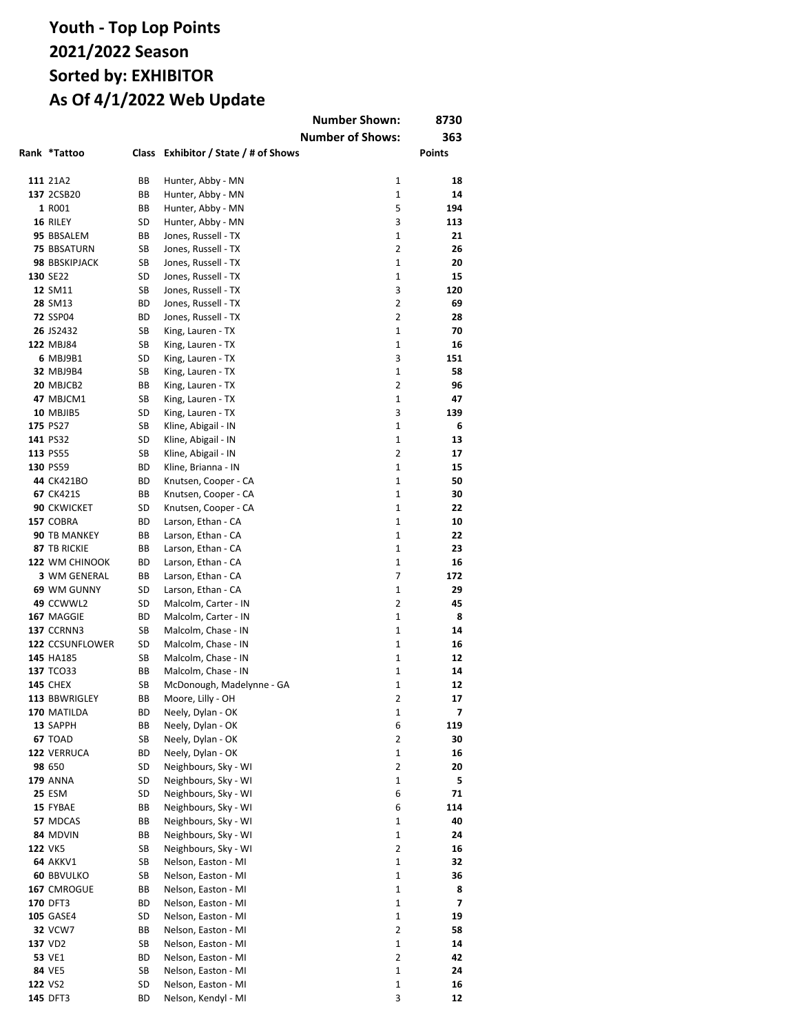|                                |          |                                              | <b>Number Shown:</b>         | 8730      |
|--------------------------------|----------|----------------------------------------------|------------------------------|-----------|
|                                |          |                                              | <b>Number of Shows:</b>      | 363       |
| Rank *Tattoo                   | Class    | Exhibitor / State / # of Shows               |                              | Points    |
|                                |          |                                              |                              |           |
| 111 21A2                       | ВB       | Hunter, Abby - MN                            | 1                            | 18        |
| 137 2CSB20                     | ВB       | Hunter, Abby - MN                            | $\mathbf{1}$                 | 14        |
| 1 R001                         | ВB       | Hunter, Abby - MN                            | 5                            | 194       |
| 16 RILEY                       | SD       | Hunter, Abby - MN                            | 3                            | 113       |
| 95 BBSALEM                     | ВB       | Jones, Russell - TX                          | $\mathbf{1}$                 | 21        |
| <b>75 BBSATURN</b>             | SB       | Jones, Russell - TX                          | $\overline{2}$               | 26        |
| 98 BBSKIPJACK                  | SB       | Jones, Russell - TX                          | 1                            | 20        |
| 130 SE22<br>12 SM11            | SD<br>SB | Jones, Russell - TX<br>Jones, Russell - TX   | 1<br>3                       | 15<br>120 |
| 28 SM13                        | ВD       | Jones, Russell - TX                          | $\overline{2}$               | 69        |
| <b>72 SSP04</b>                | ВD       | Jones, Russell - TX                          | 2                            | 28        |
| 26 JS2432                      | SB       | King, Lauren - TX                            | 1                            | 70        |
| 122 MBJ84                      | SB       | King, Lauren - TX                            | $\mathbf{1}$                 | 16        |
| 6 MBJ9B1                       | SD       | King, Lauren - TX                            | 3                            | 151       |
| <b>32 MBJ9B4</b>               | SB       | King, Lauren - TX                            | $\mathbf{1}$                 | 58        |
| 20 MBJCB2                      | ВB       | King, Lauren - TX                            | 2                            | 96        |
| 47 MBJCM1                      | SB       | King, Lauren - TX                            | $\mathbf{1}$                 | 47        |
| 10 MBJIB5                      | SD       | King, Lauren - TX                            | 3                            | 139       |
| 175 PS27                       | SB       | Kline, Abigail - IN                          | $\mathbf{1}$                 | 6         |
| 141 PS32                       | SD       | Kline, Abigail - IN                          | $\mathbf{1}$                 | 13        |
| 113 PS55                       | SB       | Kline, Abigail - IN                          | $\overline{2}$               | 17        |
| 130 PS59                       | ВD       | Kline, Brianna - IN                          | $\mathbf{1}$                 | 15        |
| 44 CK421BO                     | ВD       | Knutsen, Cooper - CA                         | $\mathbf{1}$                 | 50        |
| <b>67 CK421S</b>               | ВB       | Knutsen, Cooper - CA                         | $\mathbf{1}$                 | 30        |
| <b>90 CKWICKET</b>             | SD       | Knutsen, Cooper - CA                         | $\mathbf{1}$                 | 22        |
| 157 COBRA                      | ВD       | Larson, Ethan - CA                           | $\mathbf{1}$                 | 10        |
| 90 TB MANKEY                   | ВB       | Larson, Ethan - CA                           | $\mathbf{1}$                 | 22        |
| 87 TB RICKIE                   | ВB       | Larson, Ethan - CA                           | $\mathbf{1}$<br>$\mathbf{1}$ | 23        |
| 122 WM CHINOOK<br>3 WM GENERAL | ВD<br>ВB | Larson, Ethan - CA<br>Larson, Ethan - CA     | 7                            | 16<br>172 |
| 69 WM GUNNY                    | SD       | Larson, Ethan - CA                           | $\mathbf{1}$                 | 29        |
| 49 CCWWL2                      | SD       | Malcolm, Carter - IN                         | $\overline{2}$               | 45        |
| 167 MAGGIE                     | ВD       | Malcolm, Carter - IN                         | 1                            | 8         |
| <b>137 CCRNN3</b>              | SB       | Malcolm, Chase - IN                          | 1                            | 14        |
| 122 CCSUNFLOWER                | SD       | Malcolm, Chase - IN                          | 1                            | 16        |
| 145 HA185                      | SB       | Malcolm, Chase - IN                          | 1                            | 12        |
| 137 TCO33                      | ВB       | Malcolm, Chase - IN                          | 1                            | 14        |
| <b>145 CHEX</b>                | SB       | McDonough, Madelynne - GA                    | 1                            | 12        |
| 113 BBWRIGLEY                  | BВ       | Moore, Lilly - OH                            | 2                            | 17        |
| 170 MATILDA                    | ВD       | Neely, Dylan - OK                            | 1                            | 7         |
| 13 SAPPH                       | BВ       | Neely, Dylan - OK                            | 6                            | 119       |
| <b>67 TOAD</b>                 | SB       | Neely, Dylan - OK                            | 2                            | 30        |
| 122 VERRUCA                    | ВD       | Neely, Dylan - OK                            | 1                            | 16        |
| 98 650                         | SD       | Neighbours, Sky - WI                         | $\overline{2}$               | 20        |
| <b>179 ANNA</b>                | SD       | Neighbours, Sky - WI                         | 1                            | 5         |
| <b>25 ESM</b>                  | SD       | Neighbours, Sky - WI                         | 6                            | 71        |
| 15 FYBAE                       | BВ       | Neighbours, Sky - WI                         | 6                            | 114       |
| 57 MDCAS<br>84 MDVIN           | ВB<br>BВ | Neighbours, Sky - WI<br>Neighbours, Sky - WI | 1<br>1                       | 40<br>24  |
| <b>122 VK5</b>                 | SB       | Neighbours, Sky - WI                         | 2                            | 16        |
| 64 AKKV1                       | SB       | Nelson, Easton - MI                          | $\mathbf{1}$                 | 32        |
| <b>60 BBVULKO</b>              | SB       | Nelson, Easton - MI                          | $\mathbf{1}$                 | 36        |
| 167 CMROGUE                    | BВ       | Nelson, Easton - MI                          | 1                            | 8         |
| 170 DFT3                       | ВD       | Nelson, Easton - MI                          | $\mathbf{1}$                 | 7         |
| <b>105 GASE4</b>               | SD       | Nelson, Easton - MI                          | 1                            | 19        |
| <b>32 VCW7</b>                 | BВ       | Nelson, Easton - MI                          | 2                            | 58        |
| 137 VD2                        | SB       | Nelson, Easton - MI                          | 1                            | 14        |
| 53 VE1                         | ВD       | Nelson, Easton - MI                          | 2                            | 42        |
| 84 VE5                         | SB       | Nelson, Easton - MI                          | $\mathbf 1$                  | 24        |
| 122 VS2                        | SD       | Nelson, Easton - MI                          | 1                            | 16        |
| 145 DFT3                       | ВD       | Nelson, Kendyl - MI                          | 3                            | 12        |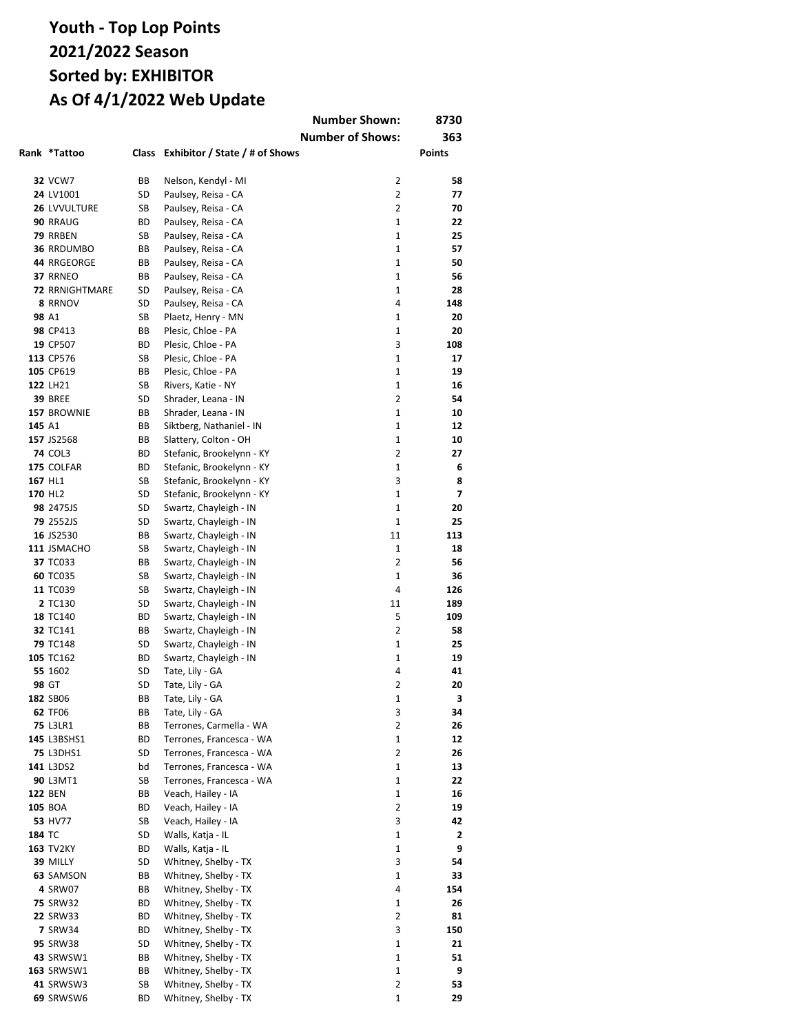|        |                                    |          |                                              | <b>Number Shown:</b>    | 8730      |
|--------|------------------------------------|----------|----------------------------------------------|-------------------------|-----------|
|        |                                    |          |                                              | <b>Number of Shows:</b> | 363       |
|        | Rank *Tattoo                       | Class    | Exhibitor / State / # of Shows               |                         | Points    |
|        |                                    |          |                                              |                         |           |
|        | <b>32 VCW7</b>                     | BВ       | Nelson, Kendyl - MI                          | $\overline{2}$          | 58        |
|        | 24 LV1001                          | SD       | Paulsey, Reisa - CA                          | 2                       | 77        |
|        | 26 LVVULTURE                       | SB       | Paulsey, Reisa - CA                          | 2                       | 70        |
|        | 90 RRAUG                           | ВD       | Paulsey, Reisa - CA                          | $\mathbf{1}$            | 22        |
|        | 79 RRBEN                           | SB       | Paulsey, Reisa - CA                          | $\mathbf{1}$            | 25        |
|        | <b>36 RRDUMBO</b>                  | ВB       | Paulsey, Reisa - CA                          | 1                       | 57        |
|        | 44 RRGEORGE                        | ВB       | Paulsey, Reisa - CA                          | $\mathbf{1}$            | 50        |
|        | 37 RRNEO                           | ВB       | Paulsey, Reisa - CA                          | $\mathbf{1}$            | 56        |
|        | <b>72 RRNIGHTMARE</b>              | SD       | Paulsey, Reisa - CA                          | $\mathbf{1}$            | 28        |
|        | 8 RRNOV                            | SD       | Paulsey, Reisa - CA                          | 4                       | 148       |
| 98 A1  |                                    | SB       | Plaetz, Henry - MN                           | $\mathbf{1}$            | 20        |
|        | 98 CP413                           | ВB       | Plesic, Chloe - PA                           | $\mathbf{1}$            | 20        |
|        | 19 CP507                           | ВD<br>SB | Plesic, Chloe - PA                           | 3<br>1                  | 108<br>17 |
|        | 113 CP576<br>105 CP619             | ВB       | Plesic, Chloe - PA<br>Plesic, Chloe - PA     | $\mathbf{1}$            | 19        |
|        | 122 LH21                           | SB       | Rivers, Katie - NY                           | $\mathbf{1}$            | 16        |
|        | <b>39 BREE</b>                     | SD       | Shrader, Leana - IN                          | $\overline{2}$          | 54        |
|        | 157 BROWNIE                        | ВB       | Shrader, Leana - IN                          | $\mathbf{1}$            | 10        |
| 145 A1 |                                    | ВB       | Siktberg, Nathaniel - IN                     | $\mathbf{1}$            | 12        |
|        | 157 JS2568                         | BВ       | Slattery, Colton - OH                        | 1                       | 10        |
|        | <b>74 COL3</b>                     | ВD       | Stefanic, Brookelynn - KY                    | 2                       | 27        |
|        | 175 COLFAR                         | ВD       | Stefanic, Brookelynn - KY                    | 1                       | 6         |
|        | 167 HL1                            | SB       | Stefanic, Brookelynn - KY                    | 3                       | 8         |
|        | 170 HL2                            | SD       | Stefanic, Brookelynn - KY                    | $\mathbf 1$             | 7         |
|        | 98 2475JS                          | SD       | Swartz, Chayleigh - IN                       | 1                       | 20        |
|        | 79 2552JS                          | SD       | Swartz, Chayleigh - IN                       | $\mathbf{1}$            | 25        |
|        | 16 JS2530                          | BВ       | Swartz, Chayleigh - IN                       | 11                      | 113       |
|        | 111 JSMACHO                        | SB       | Swartz, Chayleigh - IN                       | $\mathbf{1}$            | 18        |
|        | 37 TC033                           | ВB       | Swartz, Chayleigh - IN                       | $\overline{2}$          | 56        |
|        | <b>60 TC035</b>                    | SB       | Swartz, Chayleigh - IN                       | $\mathbf{1}$            | 36        |
|        | 11 TC039                           | SB       | Swartz, Chayleigh - IN                       | 4                       | 126       |
|        | 2 TC130                            | SD       | Swartz, Chayleigh - IN                       | 11                      | 189       |
|        | 18 TC140                           | ВD       | Swartz, Chayleigh - IN                       | 5                       | 109       |
|        | 32 TC141                           | BВ       | Swartz, Chayleigh - IN                       | 2                       | 58        |
|        | <b>79 TC148</b>                    | SD       | Swartz, Chayleigh - IN                       | $\mathbf{1}$            | 25        |
|        | 105 TC162                          | ВD       | Swartz, Chayleigh - IN                       | $\mathbf{1}$            | 19        |
|        | 55 1602                            | SD       | Tate, Lily - GA                              | 4                       | 41        |
|        | 98 GT                              | SD       | Tate, Lily - GA                              | 2                       | 20        |
|        | 182 SB06                           | ВB       | Tate, Lily - GA                              | 1                       | 3         |
|        | 62 TF06                            | BВ       | Tate, Lily - GA                              | 3                       | 34        |
|        | <b>75 L3LR1</b>                    | BВ       | Terrones, Carmella - WA                      | 2                       | 26        |
|        | 145 L3BSHS1                        | ВD       | Terrones, Francesca - WA                     | 1                       | 12        |
|        | <b>75 L3DHS1</b>                   | SD       | Terrones, Francesca - WA                     | 2                       | 26        |
|        | 141 L3DS2                          | bd       | Terrones, Francesca - WA                     | 1                       | 13        |
|        | 90 L3MT1                           | SB       | Terrones, Francesca - WA                     | 1                       | 22        |
|        | <b>122 BEN</b>                     | ВB       | Veach, Hailey - IA                           | 1                       | 16        |
|        | 105 BOA                            | ВD       | Veach, Hailey - IA                           | $\overline{2}$          | 19        |
|        | 53 HV77                            | SB       | Veach, Hailey - IA                           | 3                       | 42        |
| 184 TC |                                    | SD       | Walls, Katja - IL                            | 1                       | 2         |
|        | <b>163 TV2KY</b>                   | ВD       | Walls, Katja - IL                            | 1                       | 9         |
|        | 39 MILLY                           | SD       | Whitney, Shelby - TX                         | 3                       | 54        |
|        | 63 SAMSON                          | BВ       | Whitney, Shelby - TX                         | 1                       | 33        |
|        | 4 SRW07                            | BВ       | Whitney, Shelby - TX                         | 4<br>1                  | 154       |
|        | <b>75 SRW32</b><br><b>22 SRW33</b> | ВD<br>ВD | Whitney, Shelby - TX<br>Whitney, Shelby - TX | $\overline{2}$          | 26<br>81  |
|        | <b>7 SRW34</b>                     | ВD       | Whitney, Shelby - TX                         | 3                       | 150       |
|        | <b>95 SRW38</b>                    | SD       | Whitney, Shelby - TX                         | 1                       | 21        |
|        | <b>43</b> SRWSW1                   | BВ       | Whitney, Shelby - TX                         | 1                       | 51        |
|        | <b>163 SRWSW1</b>                  | BВ       | Whitney, Shelby - TX                         | $\mathbf 1$             | 9         |
|        | 41 SRWSW3                          | SB       | Whitney, Shelby - TX                         | 2                       | 53        |
|        | 69 SRWSW6                          | ВD       | Whitney, Shelby - TX                         | 1                       | 29        |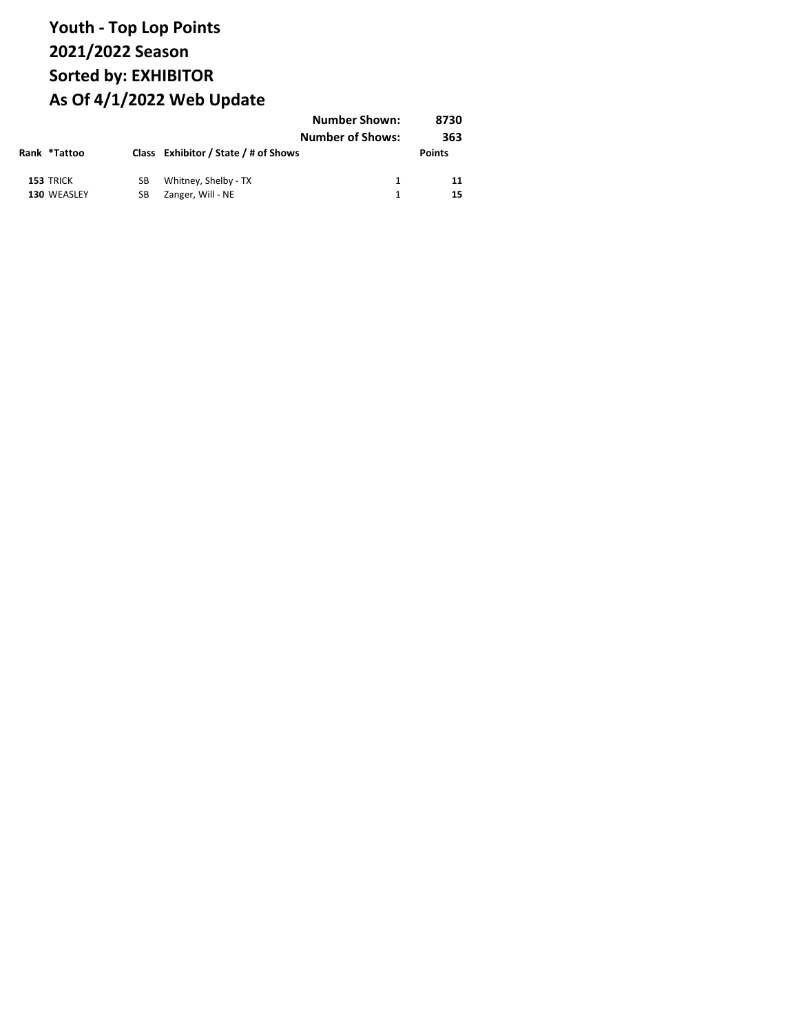|  |                          |          | <b>Number Shown:</b><br><b>Number of Shows:</b> |  | 8730<br>363   |
|--|--------------------------|----------|-------------------------------------------------|--|---------------|
|  | Rank *Tattoo             |          | Class Exhibitor / State / # of Shows            |  | <b>Points</b> |
|  | 153 TRICK<br>130 WEASLEY | SB<br>SВ | Whitney, Shelby - TX<br>Zanger, Will - NE       |  | 11<br>15      |